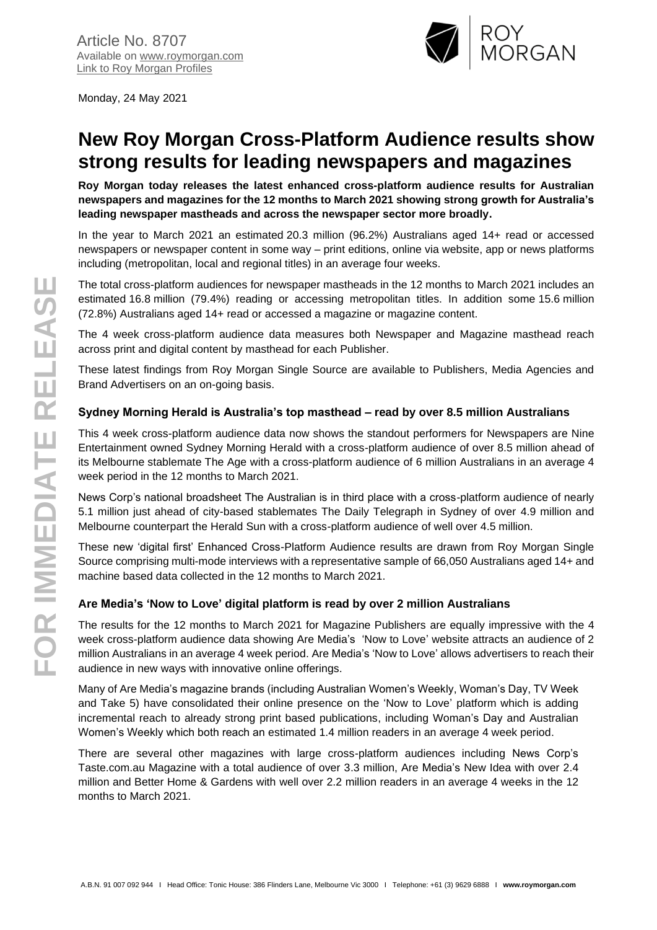

Monday, 24 May 2021

# **New Roy Morgan Cross-Platform Audience results show strong results for leading newspapers and magazines**

**Roy Morgan today releases the latest enhanced cross-platform audience results for Australian newspapers and magazines for the 12 months to March 2021 showing strong growth for Australia's leading newspaper mastheads and across the newspaper sector more broadly.**

In the year to March 2021 an estimated 20.3 million (96.2%) Australians aged 14+ read or accessed newspapers or newspaper content in some way – print editions, online via website, app or news platforms including (metropolitan, local and regional titles) in an average four weeks.

The total cross-platform audiences for newspaper mastheads in the 12 months to March 2021 includes an estimated 16.8 million (79.4%) reading or accessing metropolitan titles. In addition some 15.6 million (72.8%) Australians aged 14+ read or accessed a magazine or magazine content.

The 4 week cross-platform audience data measures both Newspaper and Magazine masthead reach across print and digital content by masthead for each Publisher.

These latest findings from Roy Morgan Single Source are available to Publishers, Media Agencies and Brand Advertisers on an on-going basis.

# **Sydney Morning Herald is Australia's top masthead – read by over 8.5 million Australians**

This 4 week cross-platform audience data now shows the standout performers for Newspapers are Nine Entertainment owned Sydney Morning Herald with a cross-platform audience of over 8.5 million ahead of its Melbourne stablemate The Age with a cross-platform audience of 6 million Australians in an average 4 week period in the 12 months to March 2021.

News Corp's national broadsheet The Australian is in third place with a cross-platform audience of nearly 5.1 million just ahead of city-based stablemates The Daily Telegraph in Sydney of over 4.9 million and Melbourne counterpart the Herald Sun with a cross-platform audience of well over 4.5 million.

These new 'digital first' Enhanced Cross-Platform Audience results are drawn from Roy Morgan Single Source comprising multi-mode interviews with a representative sample of 66,050 Australians aged 14+ and machine based data collected in the 12 months to March 2021.

## **Are Media's 'Now to Love' digital platform is read by over 2 million Australians**

The results for the 12 months to March 2021 for Magazine Publishers are equally impressive with the 4 week cross-platform audience data showing Are Media's 'Now to Love' website attracts an audience of 2 million Australians in an average 4 week period. Are Media's 'Now to Love' allows advertisers to reach their audience in new ways with innovative online offerings.

Many of Are Media's magazine brands (including Australian Women's Weekly, Woman's Day, TV Week and Take 5) have consolidated their online presence on the 'Now to Love' platform which is adding incremental reach to already strong print based publications, including Woman's Day and Australian Women's Weekly which both reach an estimated 1.4 million readers in an average 4 week period.

There are several other magazines with large cross-platform audiences including News Corp's Taste.com.au Magazine with a total audience of over 3.3 million, Are Media's New Idea with over 2.4 million and Better Home & Gardens with well over 2.2 million readers in an average 4 weeks in the 12 months to March 2021.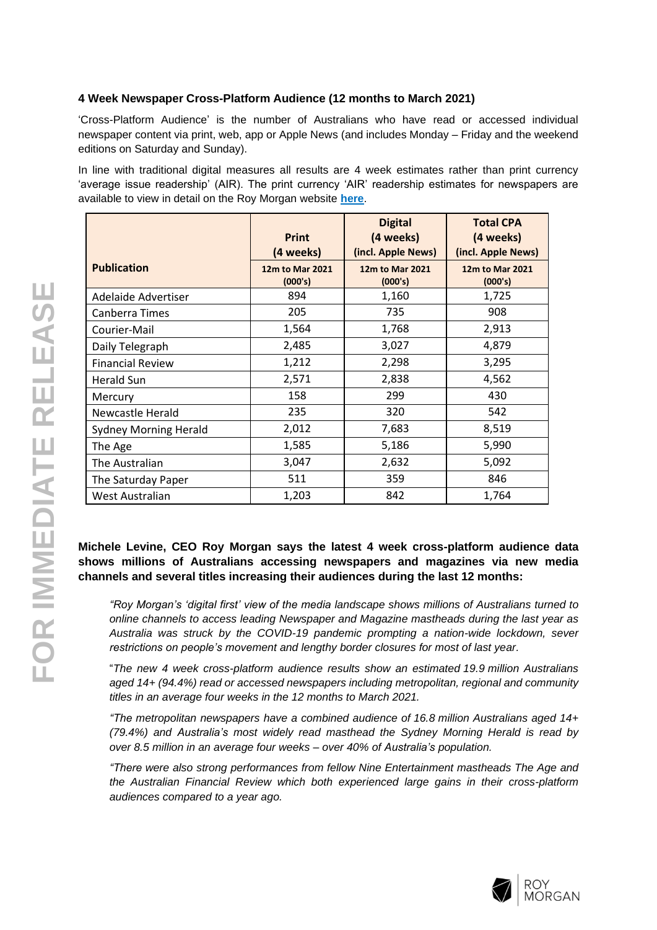## **4 Week Newspaper Cross-Platform Audience (12 months to March 2021)**

'Cross-Platform Audience' is the number of Australians who have read or accessed individual newspaper content via print, web, app or Apple News (and includes Monday – Friday and the weekend editions on Saturday and Sunday).

In line with traditional digital measures all results are 4 week estimates rather than print currency 'average issue readership' (AIR). The print currency 'AIR' readership estimates for newspapers are available to view in detail on the Roy Morgan website **[here](http://www.roymorgan.com/industries/media/readership/newspaper-readership)**.

|                              | <b>Print</b>                            | <b>Digital</b><br>(4 weeks)<br>(incl. Apple News) | <b>Total CPA</b><br>(4 weeks)<br>(incl. Apple News) |
|------------------------------|-----------------------------------------|---------------------------------------------------|-----------------------------------------------------|
| <b>Publication</b>           | (4 weeks)<br>12m to Mar 2021<br>(000's) | 12m to Mar 2021<br>(000's)                        | 12m to Mar 2021<br>(000's)                          |
| Adelaide Advertiser          | 894                                     | 1,160                                             | 1,725                                               |
| Canberra Times               | 205                                     | 735                                               | 908                                                 |
| Courier-Mail                 | 1,564                                   | 1,768                                             | 2,913                                               |
| Daily Telegraph              | 2,485                                   | 3,027                                             | 4,879                                               |
| <b>Financial Review</b>      | 1,212                                   | 2,298                                             | 3,295                                               |
| Herald Sun                   | 2,571                                   | 2,838                                             | 4,562                                               |
| Mercury                      | 158                                     | 299                                               | 430                                                 |
| Newcastle Herald             | 235                                     | 320                                               | 542                                                 |
| <b>Sydney Morning Herald</b> | 2,012                                   | 7,683                                             | 8,519                                               |
| The Age                      | 1,585                                   | 5,186                                             | 5,990                                               |
| The Australian               | 3,047                                   | 2,632                                             | 5,092                                               |
| The Saturday Paper           | 511                                     | 359                                               | 846                                                 |
| West Australian              | 1,203                                   | 842                                               | 1,764                                               |

# **Michele Levine, CEO Roy Morgan says the latest 4 week cross-platform audience data shows millions of Australians accessing newspapers and magazines via new media channels and several titles increasing their audiences during the last 12 months:**

*"Roy Morgan's 'digital first' view of the media landscape shows millions of Australians turned to online channels to access leading Newspaper and Magazine mastheads during the last year as Australia was struck by the COVID-19 pandemic prompting a nation-wide lockdown, sever restrictions on people's movement and lengthy border closures for most of last year.*

"*The new 4 week cross-platform audience results show an estimated 19.9 million Australians aged 14+ (94.4%) read or accessed newspapers including metropolitan, regional and community titles in an average four weeks in the 12 months to March 2021.*

*"The metropolitan newspapers have a combined audience of 16.8 million Australians aged 14+ (79.4%) and Australia's most widely read masthead the Sydney Morning Herald is read by over 8.5 million in an average four weeks – over 40% of Australia's population.*

*"There were also strong performances from fellow Nine Entertainment mastheads The Age and the Australian Financial Review which both experienced large gains in their cross-platform audiences compared to a year ago.*

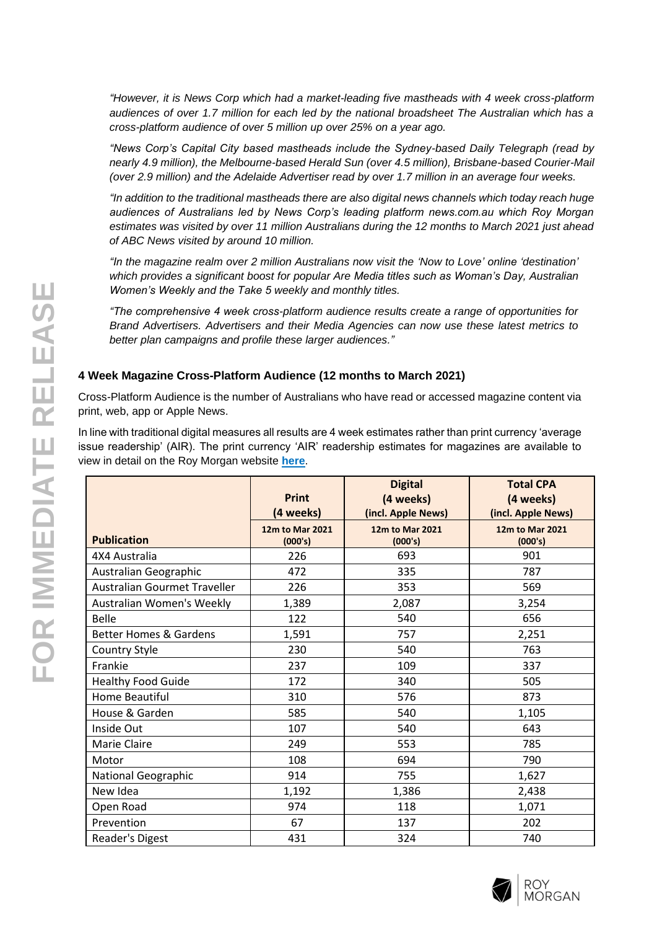*"However, it is News Corp which had a market-leading five mastheads with 4 week cross-platform audiences of over 1.7 million for each led by the national broadsheet The Australian which has a cross-platform audience of over 5 million up over 25% on a year ago.*

*"News Corp's Capital City based mastheads include the Sydney-based Daily Telegraph (read by nearly 4.9 million), the Melbourne-based Herald Sun (over 4.5 million), Brisbane-based Courier-Mail (over 2.9 million) and the Adelaide Advertiser read by over 1.7 million in an average four weeks.*

*"In addition to the traditional mastheads there are also digital news channels which today reach huge audiences of Australians led by News Corp's leading platform news.com.au which Roy Morgan estimates was visited by over 11 million Australians during the 12 months to March 2021 just ahead of ABC News visited by around 10 million.*

*"In the magazine realm over 2 million Australians now visit the 'Now to Love' online 'destination' which provides a significant boost for popular Are Media titles such as Woman's Day, Australian Women's Weekly and the Take 5 weekly and monthly titles.*

*"The comprehensive 4 week cross-platform audience results create a range of opportunities for Brand Advertisers. Advertisers and their Media Agencies can now use these latest metrics to better plan campaigns and profile these larger audiences."*

## **4 Week Magazine Cross-Platform Audience (12 months to March 2021)**

Cross-Platform Audience is the number of Australians who have read or accessed magazine content via print, web, app or Apple News.

In line with traditional digital measures all results are 4 week estimates rather than print currency 'average issue readership' (AIR). The print currency 'AIR' readership estimates for magazines are available to view in detail on the Roy Morgan website **[here](http://www.roymorgan.com/industries/media/readership/magazine-readership)**.

|                                   | <b>Print</b><br>(4 weeks)  | <b>Digital</b><br>(4 weeks)<br>(incl. Apple News) | <b>Total CPA</b><br>(4 weeks)<br>(incl. Apple News) |  |
|-----------------------------------|----------------------------|---------------------------------------------------|-----------------------------------------------------|--|
| <b>Publication</b>                | 12m to Mar 2021<br>(000's) | 12m to Mar 2021<br>(000's)                        | 12m to Mar 2021<br>(000's)                          |  |
| 4X4 Australia                     | 226                        | 693                                               | 901                                                 |  |
| Australian Geographic             | 472                        | 335                                               | 787                                                 |  |
| Australian Gourmet Traveller      | 226                        | 353                                               | 569                                                 |  |
| Australian Women's Weekly         | 1,389                      | 2,087                                             | 3,254                                               |  |
| Belle                             | 122                        | 540                                               | 656                                                 |  |
| <b>Better Homes &amp; Gardens</b> | 1,591                      | 757                                               | 2,251                                               |  |
| Country Style                     | 230                        | 540                                               | 763                                                 |  |
| Frankie                           | 237                        | 109                                               | 337                                                 |  |
| <b>Healthy Food Guide</b>         | 172                        | 340                                               | 505                                                 |  |
| Home Beautiful                    | 310                        | 576                                               | 873                                                 |  |
| House & Garden                    | 585                        | 540                                               | 1,105                                               |  |
| Inside Out                        | 107                        | 540                                               | 643                                                 |  |
| Marie Claire                      | 249                        | 553                                               | 785                                                 |  |
| Motor                             | 108                        | 694                                               | 790                                                 |  |
| <b>National Geographic</b>        | 914                        | 755                                               | 1,627                                               |  |
| New Idea                          | 1,192                      | 1,386                                             | 2,438                                               |  |
| Open Road                         | 974                        | 118                                               | 1,071                                               |  |
| Prevention                        | 67                         | 137                                               | 202                                                 |  |
| Reader's Digest                   | 431                        | 324                                               | 740                                                 |  |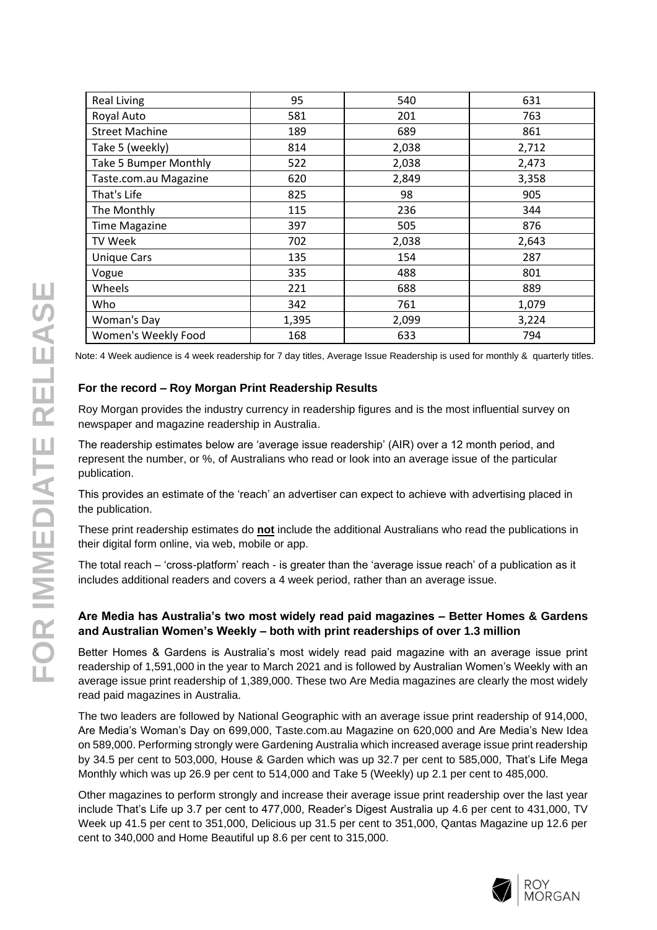| <b>Real Living</b>           | 95    | 540   | 631   |
|------------------------------|-------|-------|-------|
| Royal Auto                   | 581   | 201   | 763   |
| <b>Street Machine</b>        | 189   | 689   | 861   |
| Take 5 (weekly)              | 814   | 2,038 | 2,712 |
| <b>Take 5 Bumper Monthly</b> | 522   | 2,038 | 2,473 |
| Taste.com.au Magazine        | 620   | 2,849 | 3,358 |
| That's Life                  | 825   | 98    | 905   |
| The Monthly                  | 115   | 236   | 344   |
| <b>Time Magazine</b>         | 397   | 505   | 876   |
| <b>TV Week</b>               | 702   | 2,038 | 2,643 |
| <b>Unique Cars</b>           | 135   | 154   | 287   |
| Vogue                        | 335   | 488   | 801   |
| Wheels                       | 221   | 688   | 889   |
| Who                          | 342   | 761   | 1,079 |
| Woman's Day                  | 1,395 | 2,099 | 3,224 |
| Women's Weekly Food          | 168   | 633   | 794   |

Note: 4 Week audience is 4 week readership for 7 day titles, Average Issue Readership is used for monthly & quarterly titles.

## **For the record – Roy Morgan Print Readership Results**

Roy Morgan provides the industry currency in readership figures and is the most influential survey on newspaper and magazine readership in Australia.

The readership estimates below are 'average issue readership' (AIR) over a 12 month period, and represent the number, or %, of Australians who read or look into an average issue of the particular publication.

This provides an estimate of the 'reach' an advertiser can expect to achieve with advertising placed in the publication.

These print readership estimates do **not** include the additional Australians who read the publications in their digital form online, via web, mobile or app.

The total reach – 'cross-platform' reach - is greater than the 'average issue reach' of a publication as it includes additional readers and covers a 4 week period, rather than an average issue.

## **Are Media has Australia's two most widely read paid magazines – Better Homes & Gardens and Australian Women's Weekly – both with print readerships of over 1.3 million**

Better Homes & Gardens is Australia's most widely read paid magazine with an average issue print readership of 1,591,000 in the year to March 2021 and is followed by Australian Women's Weekly with an average issue print readership of 1,389,000. These two Are Media magazines are clearly the most widely read paid magazines in Australia.

The two leaders are followed by National Geographic with an average issue print readership of 914,000, Are Media's Woman's Day on 699,000, Taste.com.au Magazine on 620,000 and Are Media's New Idea on 589,000. Performing strongly were Gardening Australia which increased average issue print readership by 34.5 per cent to 503,000, House & Garden which was up 32.7 per cent to 585,000, That's Life Mega Monthly which was up 26.9 per cent to 514,000 and Take 5 (Weekly) up 2.1 per cent to 485,000.

Other magazines to perform strongly and increase their average issue print readership over the last year include That's Life up 3.7 per cent to 477,000, Reader's Digest Australia up 4.6 per cent to 431,000, TV Week up 41.5 per cent to 351,000, Delicious up 31.5 per cent to 351,000, Qantas Magazine up 12.6 per cent to 340,000 and Home Beautiful up 8.6 per cent to 315,000.

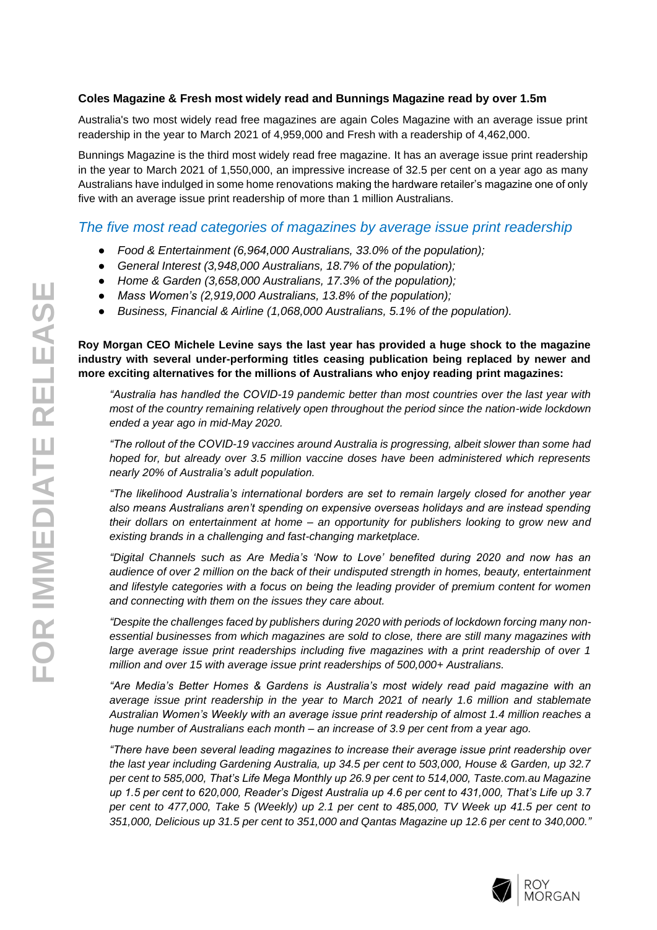## **Coles Magazine & Fresh most widely read and Bunnings Magazine read by over 1.5m**

Australia's two most widely read free magazines are again Coles Magazine with an average issue print readership in the year to March 2021 of 4,959,000 and Fresh with a readership of 4,462,000.

Bunnings Magazine is the third most widely read free magazine. It has an average issue print readership in the year to March 2021 of 1,550,000, an impressive increase of 32.5 per cent on a year ago as many Australians have indulged in some home renovations making the hardware retailer's magazine one of only five with an average issue print readership of more than 1 million Australians.

# *The five most read categories of magazines by average issue print readership*

- *Food & Entertainment (6,964,000 Australians, 33.0% of the population);*
- *General Interest (3,948,000 Australians, 18.7% of the population);*
- *Home & Garden (3,658,000 Australians, 17.3% of the population);*
- *Mass Women's (2,919,000 Australians, 13.8% of the population);*
- *Business, Financial & Airline (1,068,000 Australians, 5.1% of the population).*

**Roy Morgan CEO Michele Levine says the last year has provided a huge shock to the magazine industry with several under-performing titles ceasing publication being replaced by newer and more exciting alternatives for the millions of Australians who enjoy reading print magazines:**

*"Australia has handled the COVID-19 pandemic better than most countries over the last year with most of the country remaining relatively open throughout the period since the nation-wide lockdown ended a year ago in mid-May 2020.*

*"The rollout of the COVID-19 vaccines around Australia is progressing, albeit slower than some had hoped for, but already over 3.5 million vaccine doses have been administered which represents nearly 20% of Australia's adult population.*

*"The likelihood Australia's international borders are set to remain largely closed for another year also means Australians aren't spending on expensive overseas holidays and are instead spending their dollars on entertainment at home – an opportunity for publishers looking to grow new and existing brands in a challenging and fast-changing marketplace.*

*"Digital Channels such as Are Media's 'Now to Love' benefited during 2020 and now has an audience of over 2 million on the back of their undisputed strength in homes, beauty, entertainment and lifestyle categories with a focus on being the leading provider of premium content for women and connecting with them on the issues they care about.* 

*"Despite the challenges faced by publishers during 2020 with periods of lockdown forcing many nonessential businesses from which magazines are sold to close, there are still many magazines with large average issue print readerships including five magazines with a print readership of over 1 million and over 15 with average issue print readerships of 500,000+ Australians.*

*"Are Media's Better Homes & Gardens is Australia's most widely read paid magazine with an average issue print readership in the year to March 2021 of nearly 1.6 million and stablemate Australian Women's Weekly with an average issue print readership of almost 1.4 million reaches a huge number of Australians each month – an increase of 3.9 per cent from a year ago.*

*"There have been several leading magazines to increase their average issue print readership over the last year including Gardening Australia, up 34.5 per cent to 503,000, House & Garden, up 32.7 per cent to 585,000, That's Life Mega Monthly up 26.9 per cent to 514,000, Taste.com.au Magazine up 1.5 per cent to 620,000, Reader's Digest Australia up 4.6 per cent to 431,000, That's Life up 3.7 per cent to 477,000, Take 5 (Weekly) up 2.1 per cent to 485,000, TV Week up 41.5 per cent to 351,000, Delicious up 31.5 per cent to 351,000 and Qantas Magazine up 12.6 per cent to 340,000."*